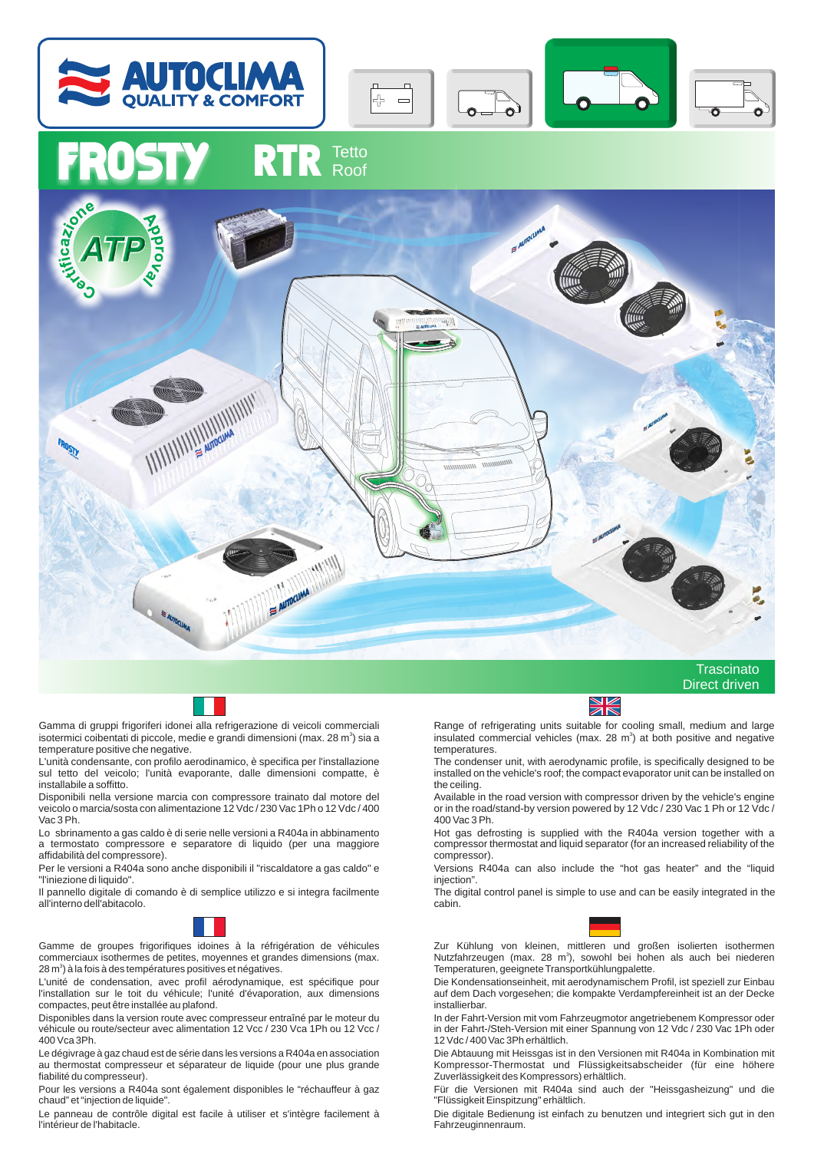



## RTR Tetto





Gamma di gruppi frigoriferi idonei alla refrigerazione di veicoli commerciali isotermici coibentati di piccole, medie e grandi dimensioni (max. 28 m<sup>3</sup>) sia a temperature positive che negative.

L'unità condensante, con profilo aerodinamico, è specifica per l'installazione sul tetto del veicolo; l'unità evaporante, dalle dimensioni compatte, è installabile a soffitto.

Disponibili nella versione marcia con compressore trainato dal motore del veicolo o marcia/sosta con alimentazione 12 Vdc / 230 Vac 1Ph o 12 Vdc / 400 Vac 3 Ph.

Lo sbrinamento a gas caldo è di serie nelle versioni a R404a in abbinamento a termostato compressore e separatore di liquido (per una maggiore affidabilità del compressore).

Per le versioni a R404a sono anche disponibili il "riscaldatore a gas caldo" e "l'iniezione di liquido".

Il pannello digitale di comando è di semplice utilizzo e si integra facilmente all'interno dell'abitacolo.



Gamme de groupes frigorifiques idoines à la réfrigération de véhicules commerciaux isothermes de petites, moyennes et grandes dimensions (max. 28 m $\degree$ ) à la fois à des températures positives et négatives.

L'unité de condensation, avec profil aérodynamique, est spécifique pour l'installation sur le toit du véhicule; l'unité d'évaporation, aux dimensions compactes, peut être installée au plafond.

Disponibles dans la version route avec compresseur entraîné par le moteur du véhicule ou route/secteur avec alimentation 12 Vcc / 230 Vca 1Ph ou 12 Vcc / 400 Vca 3Ph.

Le dégivrage à gaz chaud est de série dans les versions a R404a en association au thermostat compresseur et séparateur de liquide (pour une plus grande fiabilité du compresseur).

Pour les versions a R404a sont également disponibles le "réchauffeur à gaz chaud" et "injection de liquide".

Le panneau de contrôle digital est facile à utiliser et s'intègre facilement à l'intérieur de l'habitacle.



Range of refrigerating units suitable for cooling small, medium and large insulated commercial vehicles (max. 28  $m<sup>3</sup>$ ) at both positive and negative temperatures.

The condenser unit, with aerodynamic profile, is specifically designed to be installed on the vehicle's roof; the compact evaporator unit can be installed on the ceiling.

Available in the road version with compressor driven by the vehicle's engine or in the road/stand-by version powered by 12 Vdc / 230 Vac 1 Ph or 12 Vdc / 400 Vac 3 Ph.

Hot gas defrosting is supplied with the R404a version together with a compressor thermostat and liquid separator (for an increased reliability of the compressor).

Versions R404a can also include the "hot gas heater" and the "liquid injection".

The digital control panel is simple to use and can be easily integrated in the cabin.



Zur Kühlung von kleinen, mittleren und großen isolierten isothermen Nutzfahrzeugen (max. 28 m<sup>3</sup>), sowohl bei hohen als auch bei niederen Temperaturen, geeignete Transportkühlungpalette.

Die Kondensationseinheit, mit aerodynamischem Profil, ist speziell zur Einbau auf dem Dach vorgesehen; die kompakte Verdampfereinheit ist an der Decke installierbar.

In der Fahrt-Version mit vom Fahrzeugmotor angetriebenem Kompressor oder in der Fahrt-/Steh-Version mit einer Spannung von 12 Vdc / 230 Vac 1Ph oder 12 Vdc / 400 Vac 3Ph erhältlich.

Die Abtauung mit Heissgas ist in den Versionen mit R404a in Kombination mit Kompressor-Thermostat und Flüssigkeitsabscheider (für eine höhere Zuverlässigkeit des Kompressors) erhältlich.

Für die Versionen mit R404a sind auch der "Heissgasheizung" und die "Flüssigkeit Einspitzung" erhältlich.

Die digitale Bedienung ist einfach zu benutzen und integriert sich gut in den Fahrzeuginnenraum.